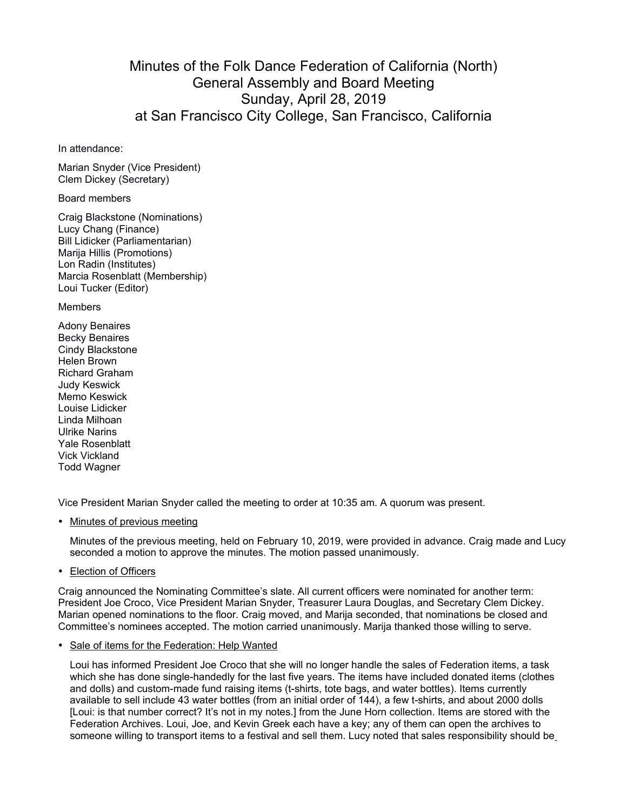## Minutes of the Folk Dance Federation of California (North) General Assembly and Board Meeting Sunday, April 28, 2019 at San Francisco City College, San Francisco, California

In attendance:

Marian Snyder (Vice President) Clem Dickey (Secretary)

Board members

Craig Blackstone (Nominations) Lucy Chang (Finance) Bill Lidicker (Parliamentarian) Marija Hillis (Promotions) Lon Radin (Institutes) Marcia Rosenblatt (Membership) Loui Tucker (Editor)

Members

Adony Benaires Becky Benaires Cindy Blackstone Helen Brown Richard Graham Judy Keswick Memo Keswick Louise Lidicker Linda Milhoan Ulrike Narins Yale Rosenblatt Vick Vickland Todd Wagner

Vice President Marian Snyder called the meeting to order at 10:35 am. A quorum was present.

• Minutes of previous meeting

Minutes of the previous meeting, held on February 10, 2019, were provided in advance. Craig made and Lucy seconded a motion to approve the minutes. The motion passed unanimously.

• Election of Officers

Craig announced the Nominating Committee's slate. All current officers were nominated for another term: President Joe Croco, Vice President Marian Snyder, Treasurer Laura Douglas, and Secretary Clem Dickey. Marian opened nominations to the floor. Craig moved, and Marija seconded, that nominations be closed and Committee's nominees accepted. The motion carried unanimously. Marija thanked those willing to serve.

• Sale of items for the Federation: Help Wanted

Loui has informed President Joe Croco that she will no longer handle the sales of Federation items, a task which she has done single-handedly for the last five years. The items have included donated items (clothes and dolls) and custom-made fund raising items (t-shirts, tote bags, and water bottles). Items currently available to sell include 43 water bottles (from an initial order of 144), a few t-shirts, and about 2000 dolls [Loui: is that number correct? It's not in my notes.] from the June Horn collection. Items are stored with the Federation Archives. Loui, Joe, and Kevin Greek each have a key; any of them can open the archives to someone willing to transport items to a festival and sell them. Lucy noted that sales responsibility should be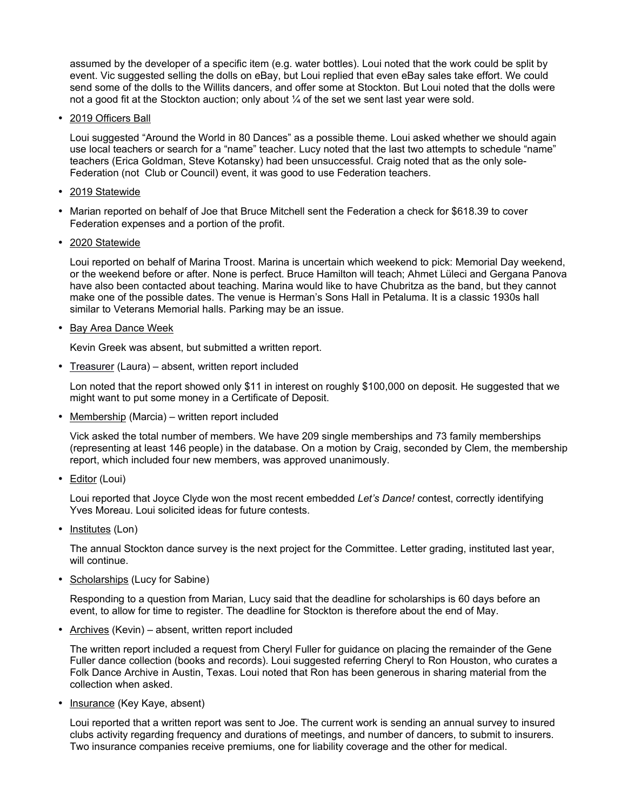assumed by the developer of a specific item (e.g. water bottles). Loui noted that the work could be split by event. Vic suggested selling the dolls on eBay, but Loui replied that even eBay sales take effort. We could send some of the dolls to the Willits dancers, and offer some at Stockton. But Loui noted that the dolls were not a good fit at the Stockton auction; only about  $\mathcal{V}_4$  of the set we sent last year were sold.

• 2019 Officers Ball

Loui suggested "Around the World in 80 Dances" as a possible theme. Loui asked whether we should again use local teachers or search for a "name" teacher. Lucy noted that the last two attempts to schedule "name" teachers (Erica Goldman, Steve Kotansky) had been unsuccessful. Craig noted that as the only sole-Federation (not Club or Council) event, it was good to use Federation teachers.

- 2019 Statewide
- Marian reported on behalf of Joe that Bruce Mitchell sent the Federation a check for \$618.39 to cover Federation expenses and a portion of the profit.
- 2020 Statewide

Loui reported on behalf of Marina Troost. Marina is uncertain which weekend to pick: Memorial Day weekend, or the weekend before or after. None is perfect. Bruce Hamilton will teach; Ahmet Lüleci and Gergana Panova have also been contacted about teaching. Marina would like to have Chubritza as the band, but they cannot make one of the possible dates. The venue is Herman's Sons Hall in Petaluma. It is a classic 1930s hall similar to Veterans Memorial halls. Parking may be an issue.

• Bay Area Dance Week

Kevin Greek was absent, but submitted a written report.

• Treasurer (Laura) – absent, written report included

Lon noted that the report showed only \$11 in interest on roughly \$100,000 on deposit. He suggested that we might want to put some money in a Certificate of Deposit.

• Membership (Marcia) – written report included

Vick asked the total number of members. We have 209 single memberships and 73 family memberships (representing at least 146 people) in the database. On a motion by Craig, seconded by Clem, the membership report, which included four new members, was approved unanimously.

• Editor (Loui)

Loui reported that Joyce Clyde won the most recent embedded *Let's Dance!* contest, correctly identifying Yves Moreau. Loui solicited ideas for future contests.

• Institutes (Lon)

The annual Stockton dance survey is the next project for the Committee. Letter grading, instituted last year, will continue.

• Scholarships (Lucy for Sabine)

Responding to a question from Marian, Lucy said that the deadline for scholarships is 60 days before an event, to allow for time to register. The deadline for Stockton is therefore about the end of May.

• Archives (Kevin) – absent, written report included

The written report included a request from Cheryl Fuller for guidance on placing the remainder of the Gene Fuller dance collection (books and records). Loui suggested referring Cheryl to Ron Houston, who curates a Folk Dance Archive in Austin, Texas. Loui noted that Ron has been generous in sharing material from the collection when asked.

• Insurance (Key Kaye, absent)

Loui reported that a written report was sent to Joe. The current work is sending an annual survey to insured clubs activity regarding frequency and durations of meetings, and number of dancers, to submit to insurers. Two insurance companies receive premiums, one for liability coverage and the other for medical.